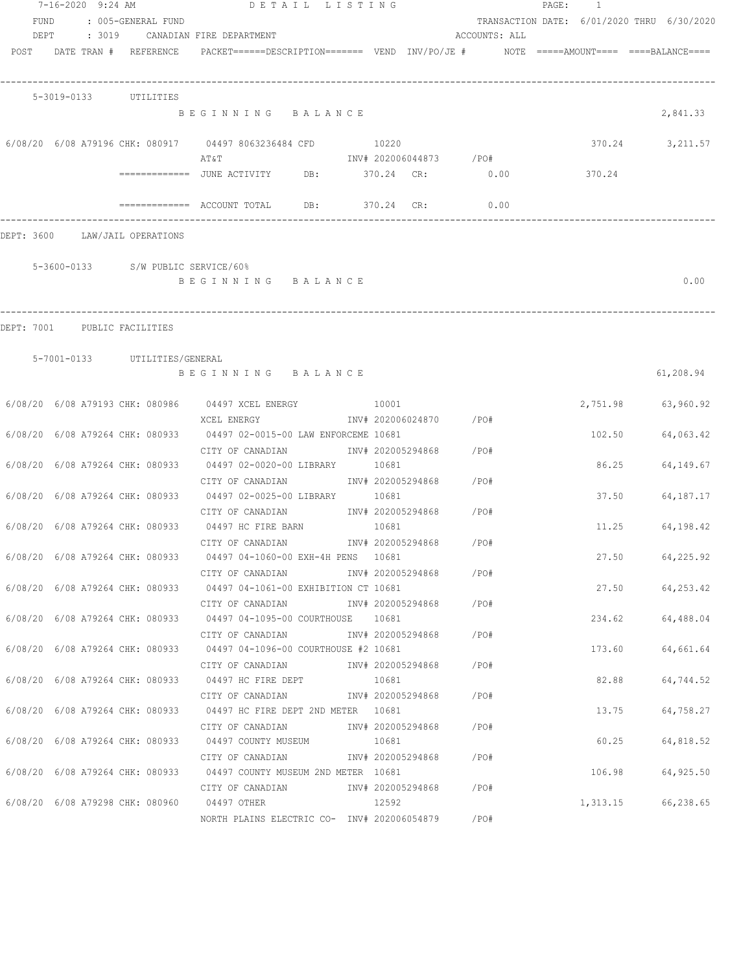|                                | 7-16-2020 9:24 AM                  | DETAIL LISTING                                                                                    |                            |                        |               | PAGE: 1                                    |                      |
|--------------------------------|------------------------------------|---------------------------------------------------------------------------------------------------|----------------------------|------------------------|---------------|--------------------------------------------|----------------------|
| FUND                           | : 005-GENERAL FUND                 |                                                                                                   |                            |                        |               | TRANSACTION DATE: 6/01/2020 THRU 6/30/2020 |                      |
| DEPT                           |                                    | : 3019 CANADIAN FIRE DEPARTMENT                                                                   |                            |                        | ACCOUNTS: ALL |                                            |                      |
|                                | POST DATE TRAN # REFERENCE         | $PACKET == == = DESCRIPTION == == == $ VEND $INV/PO/JE$ # NOTE =====AMOUNT==== ====BALANCE====    |                            |                        |               |                                            |                      |
|                                | 5-3019-0133 UTILITIES              |                                                                                                   |                            |                        |               |                                            |                      |
|                                |                                    | BEGINNING BALANCE                                                                                 |                            |                        |               |                                            | 2,841.33             |
|                                |                                    | 6/08/20 6/08 A79196 CHK: 080917 04497 8063236484 CFD                                              | 10220                      |                        |               |                                            | 370.24<br>3,211.57   |
|                                |                                    | ΑΤ&Τ                                                                                              |                            | INV# 202006044873 /PO# |               |                                            |                      |
|                                |                                    | ============     JUNE  ACTIVITY           DB:               370.24     CR:                   0.00 |                            |                        |               | 370.24                                     |                      |
|                                |                                    | $\texttt{-----}$ ============ ACCOUNT TOTAL DB: 370.24 CR:                                        |                            |                        | 0.00          |                                            |                      |
| DEPT: 3600 LAW/JAIL OPERATIONS |                                    |                                                                                                   |                            |                        |               |                                            |                      |
|                                | 5-3600-0133 S/W PUBLIC SERVICE/60% |                                                                                                   |                            |                        |               |                                            |                      |
|                                |                                    | BEGINNING BALANCE                                                                                 |                            |                        |               |                                            | 0.00                 |
|                                |                                    |                                                                                                   |                            |                        |               |                                            |                      |
| DEPT: 7001 PUBLIC FACILITIES   |                                    |                                                                                                   |                            |                        |               |                                            |                      |
|                                | 5-7001-0133 UTILITIES/GENERAL      |                                                                                                   |                            |                        |               |                                            |                      |
|                                |                                    | BEGINNING BALANCE                                                                                 |                            |                        |               |                                            | 61,208.94            |
|                                |                                    | 6/08/20 6/08 A79193 CHK: 080986 04497 XCEL ENERGY 10001                                           |                            |                        |               |                                            | 2,751.98 63,960.92   |
|                                |                                    | XCEL ENERGY                                                                                       |                            | INV# 202006024870 /PO# |               |                                            |                      |
|                                |                                    | 6/08/20 6/08 A79264 CHK: 080933 04497 02-0015-00 LAW ENFORCEME 10681                              |                            | INV# 202005294868 /PO# |               | 102.50                                     | 64,063.42            |
|                                |                                    | CITY OF CANADIAN<br>6/08/20 6/08 A79264 CHK: 080933 04497 02-0020-00 LIBRARY 10681                |                            |                        |               |                                            | 86.25<br>64,149.67   |
|                                |                                    | CITY OF CANADIAN                                                                                  |                            | INV# 202005294868 /PO# |               |                                            |                      |
|                                |                                    | 6/08/20 6/08 A79264 CHK: 080933 04497 02-0025-00 LIBRARY 10681                                    |                            |                        |               |                                            | 37.50<br>64, 187. 17 |
|                                |                                    | CITY OF CANADIAN<br>6/08/20 6/08 A79264 CHK: 080933 04497 HC FIRE BARN                            |                            | INV# 202005294868 /PO# |               | 11.25                                      |                      |
|                                |                                    | CITY OF CANADIAN                                                                                  | 10681<br>INV# 202005294868 |                        | /PO#          |                                            | 64,198.42            |
|                                |                                    | 6/08/20 6/08 A79264 CHK: 080933 04497 04-1060-00 EXH-4H PENS 10681                                |                            |                        |               |                                            | 27.50<br>64,225.92   |
|                                |                                    | CITY OF CANADIAN                                                                                  |                            | INV# 202005294868      | /PO#          |                                            |                      |
|                                |                                    | 6/08/20 6/08 A79264 CHK: 080933 04497 04-1061-00 EXHIBITION CT 10681                              |                            |                        |               |                                            | 27.50 64,253.42      |
|                                |                                    | CITY OF CANADIAN                                                                                  |                            | INV# 202005294868 /PO# |               |                                            |                      |
|                                |                                    | 6/08/20 6/08 A79264 CHK: 080933 04497 04-1095-00 COURTHOUSE 10681                                 |                            |                        |               |                                            | 234.62 64,488.04     |
|                                |                                    | CITY OF CANADIAN                                                                                  |                            | INV# 202005294868 /PO# |               |                                            |                      |
|                                |                                    | 6/08/20 6/08 A79264 CHK: 080933 04497 04-1096-00 COURTHOUSE #2 10681                              |                            |                        |               | 173.60                                     | 64,661.64            |
|                                |                                    | CITY OF CANADIAN                                                                                  |                            | INV# 202005294868 /PO# |               |                                            |                      |
|                                |                                    | 6/08/20 6/08 A79264 CHK: 080933 04497 HC FIRE DEPT                                                | 10681                      |                        |               | 82.88                                      | 64,744.52            |
|                                |                                    | CITY OF CANADIAN                                                                                  |                            | INV# 202005294868      | /PO#          |                                            |                      |
|                                |                                    | 6/08/20 6/08 A79264 CHK: 080933 04497 HC FIRE DEPT 2ND METER 10681                                |                            | INV# 202005294868      |               |                                            | 13.75<br>64,758.27   |
|                                |                                    | CITY OF CANADIAN<br>6/08/20 6/08 A79264 CHK: 080933 04497 COUNTY MUSEUM                           | 10681                      |                        | /PO#          | 60.25                                      | 64,818.52            |
|                                |                                    | CITY OF CANADIAN                                                                                  |                            | INV# 202005294868      | /PO#          |                                            |                      |
|                                |                                    | 6/08/20 6/08 A79264 CHK: 080933 04497 COUNTY MUSEUM 2ND METER 10681                               |                            |                        |               |                                            | 106.98 64,925.50     |
|                                |                                    | CITY OF CANADIAN 5 1NV# 202005294868 7PO#                                                         |                            |                        |               |                                            |                      |
|                                |                                    | 6/08/20 6/08 A79298 CHK: 080960 04497 OTHER                                                       | 12592                      |                        |               | 1,313.15                                   | 66,238.65            |
|                                |                                    | NORTH PLAINS ELECTRIC CO- INV# 202006054879 / PO#                                                 |                            |                        |               |                                            |                      |
|                                |                                    |                                                                                                   |                            |                        |               |                                            |                      |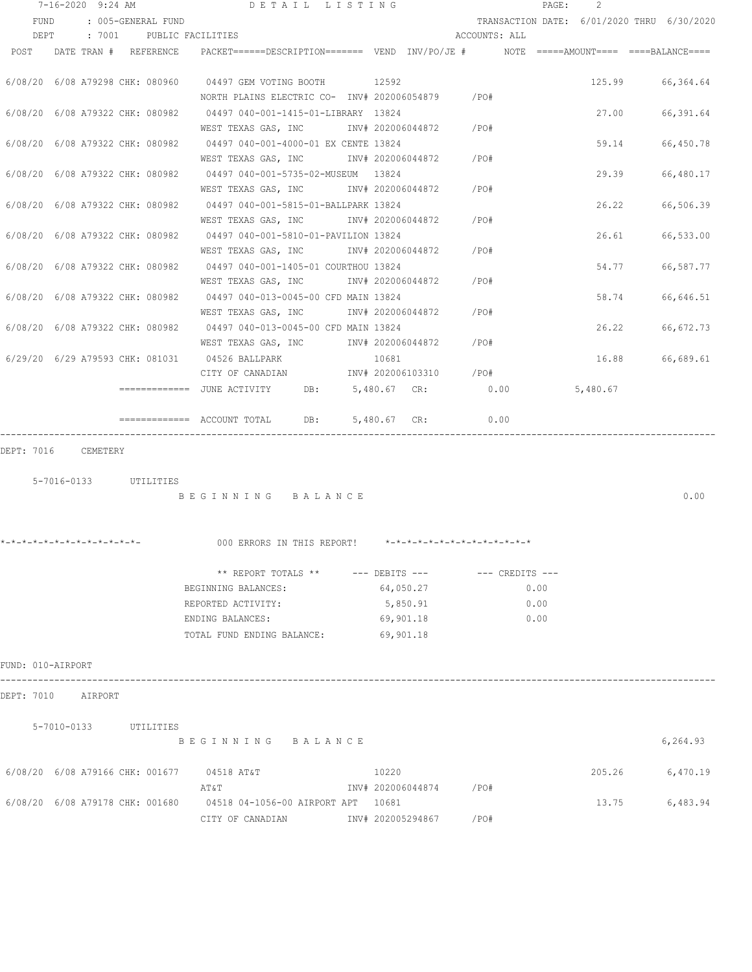|                     |  | 7-16-2020 9:24 AM          | DETAIL LISTING                                                                                                                   |                           |               | $\texttt{PAGE}$ : | $\mathcal{L}$ |                                            |
|---------------------|--|----------------------------|----------------------------------------------------------------------------------------------------------------------------------|---------------------------|---------------|-------------------|---------------|--------------------------------------------|
| FUND                |  | : 005-GENERAL FUND         |                                                                                                                                  |                           |               |                   |               | TRANSACTION DATE: 6/01/2020 THRU 6/30/2020 |
| DEPT                |  |                            | : 7001 PUBLIC FACILITIES                                                                                                         |                           | ACCOUNTS: ALL |                   |               |                                            |
|                     |  | POST DATE TRAN # REFERENCE | PACKET======DESCRIPTION======= VEND INV/PO/JE #    NOTE =====AMOUNT==== ====BALANCE====                                          |                           |               |                   |               |                                            |
|                     |  |                            | 6/08/20 6/08 A79298 CHK: 080960 04497 GEM VOTING BOOTH 12592<br>NORTH PLAINS ELECTRIC CO- INV# 202006054879 / PO#                |                           |               |                   |               | 125.99 66,364.64                           |
|                     |  |                            | 6/08/20 6/08 A79322 CHK: 080982 04497 040-001-1415-01-LIBRARY 13824<br>WEST TEXAS GAS, INC                                       | INV# 202006044872 / PO#   |               |                   |               | 27.00 66,391.64                            |
|                     |  |                            | 6/08/20 6/08 A79322 CHK: 080982 04497 040-001-4000-01 EX CENTE 13824<br>WEST TEXAS GAS, INC                                      | INV# 202006044872 /PO#    |               |                   | 59.14         | 66,450.78                                  |
|                     |  |                            | 6/08/20 6/08 A79322 CHK: 080982 04497 040-001-5735-02-MUSEUM 13824<br>WEST TEXAS GAS, INC         INV# 202006044872       /PO#   |                           |               |                   | 29.39         | 66,480.17                                  |
|                     |  |                            | 6/08/20 6/08 A79322 CHK: 080982 04497 040-001-5815-01-BALLPARK 13824<br>WEST TEXAS GAS, INC         INV# 202006044872       /PO# |                           |               |                   | 26.22         | 66,506.39                                  |
|                     |  |                            | 6/08/20 6/08 A79322 CHK: 080982 04497 040-001-5810-01-PAVILION 13824<br>WEST TEXAS GAS, INC MONTH 202006044872 / PO#             |                           |               |                   | 26.61         | 66,533.00                                  |
|                     |  |                            | 6/08/20 6/08 A79322 CHK: 080982 04497 040-001-1405-01 COURTHOU 13824<br>WEST TEXAS GAS, INC MONTH 202006044872 / PO#             |                           |               |                   | 54.77         | 66,587.77                                  |
|                     |  |                            | 6/08/20 6/08 A79322 CHK: 080982 04497 040-013-0045-00 CFD MAIN 13824                                                             |                           |               |                   | 58.74         | 66,646.51                                  |
|                     |  |                            | WEST TEXAS GAS, INC        INV# 202006044872      /PO#<br>6/08/20 6/08 A79322 CHK: 080982 04497 040-013-0045-00 CFD MAIN 13824   |                           |               |                   | 26.22         | 66,672.73                                  |
|                     |  |                            | WEST TEXAS GAS, INC       INV# 202006044872     /PO#<br>6/29/20 6/29 A79593 CHK: 081031 04526 BALLPARK                           | 10681                     |               |                   | 16.88         | 66,689.61                                  |
|                     |  |                            | CITY OF CANADIAN<br>============ JUNE ACTIVITY DB: 5,480.67 CR:                                                                  | INV# 202006103310 /PO#    | 0.00          |                   | 5,480.67      |                                            |
|                     |  |                            | ============= ACCOUNT TOTAL DB: 5,480.67 CR:                                                                                     |                           | 0.00          |                   |               |                                            |
| DEPT: 7016 CEMETERY |  |                            |                                                                                                                                  |                           |               |                   |               |                                            |
|                     |  |                            |                                                                                                                                  |                           |               |                   |               |                                            |
|                     |  | 5-7016-0133 UTILITIES      | BEGINNING BALANCE                                                                                                                |                           |               |                   |               | 0.00                                       |
|                     |  |                            |                                                                                                                                  |                           |               |                   |               |                                            |
|                     |  |                            | *-*-*-*-*-*-*-*-*-*-*-*-*-<br>000 ERRORS IN THIS REPORT!                                                                         | ************************* |               |                   |               |                                            |
|                     |  |                            | ** REPORT TOTALS ** --- DEBITS --- -- CREDITS ---                                                                                |                           |               |                   |               |                                            |
|                     |  |                            | BEGINNING BALANCES:                                                                                                              | 64,050.27                 |               | 0.00              |               |                                            |
|                     |  |                            | REPORTED ACTIVITY:                                                                                                               | 5,850.91                  |               | 0.00              |               |                                            |
|                     |  |                            | ENDING BALANCES:                                                                                                                 | 69,901.18                 |               | 0.00              |               |                                            |
|                     |  |                            | TOTAL FUND ENDING BALANCE: 69,901.18                                                                                             |                           |               |                   |               |                                            |
| FUND: 010-AIRPORT   |  |                            |                                                                                                                                  |                           |               |                   |               |                                            |
| DEPT: 7010 AIRPORT  |  |                            |                                                                                                                                  |                           |               |                   |               |                                            |
|                     |  | 5-7010-0133 UTILITIES      |                                                                                                                                  |                           |               |                   |               |                                            |
|                     |  |                            | BEGINNING BALANCE                                                                                                                |                           |               |                   |               | 6,264.93                                   |
|                     |  |                            | 6/08/20 6/08 A79166 CHK: 001677 04518 AT&T                                                                                       | 10220                     |               |                   | 205.26        | 6,470.19                                   |
|                     |  |                            | AT&T                                                                                                                             | INV# 202006044874 /PO#    |               |                   |               |                                            |
|                     |  |                            | 6/08/20 6/08 A79178 CHK: 001680 04518 04-1056-00 AIRPORT APT 10681<br>CITY OF CANADIAN                                           | INV# 202005294867         | /PO#          |                   | 13.75         | 6,483.94                                   |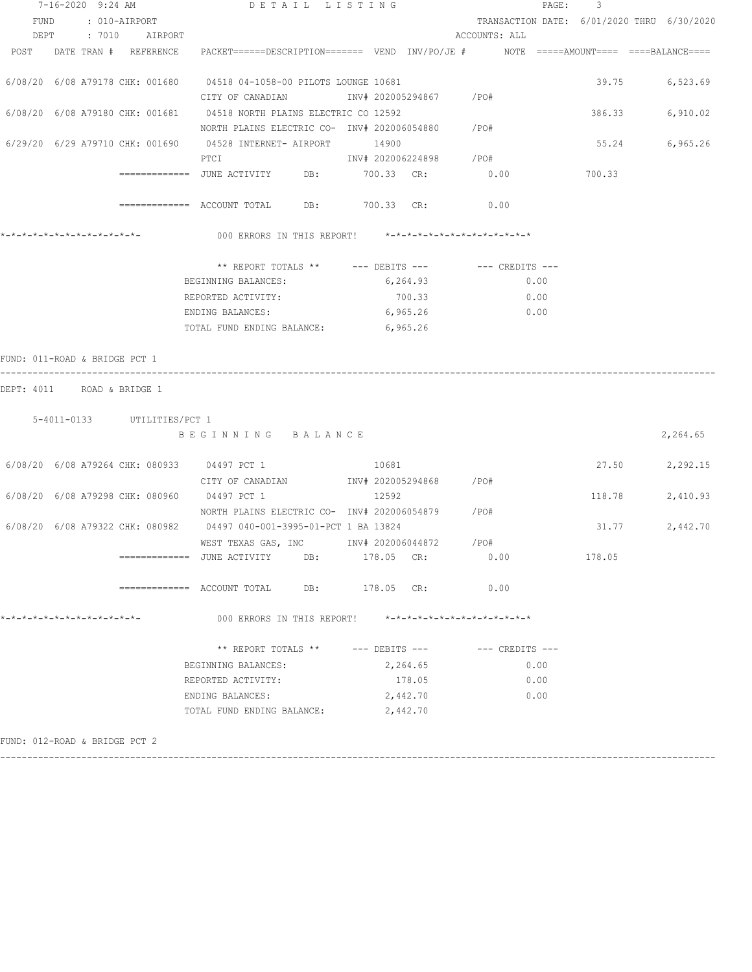| 7-16-2020 9:24 AM             |  |                               |  |                             | DETAIL LISTING                                                                                                  |                        |          | PAGE:<br>3                     |                     |        |                                            |  |  |
|-------------------------------|--|-------------------------------|--|-----------------------------|-----------------------------------------------------------------------------------------------------------------|------------------------|----------|--------------------------------|---------------------|--------|--------------------------------------------|--|--|
| FUND                          |  | : 010-AIRPORT                 |  |                             |                                                                                                                 |                        |          |                                |                     |        | TRANSACTION DATE: 6/01/2020 THRU 6/30/2020 |  |  |
|                               |  |                               |  | DEPT : 7010 AIRPORT         |                                                                                                                 |                        |          | ACCOUNTS: ALL                  |                     |        |                                            |  |  |
|                               |  |                               |  |                             | POST DATE TRAN # REFERENCE PACKET======DESCRIPTION======= VEND INV/PO/JE # NOTE =====AMOUNT==== ====BALANCE==== |                        |          |                                |                     |        |                                            |  |  |
|                               |  |                               |  |                             |                                                                                                                 |                        |          |                                |                     |        |                                            |  |  |
|                               |  |                               |  |                             | 6/08/20 6/08 A79178 CHK: 001680 04518 04-1058-00 PILOTS LOUNGE 10681                                            |                        |          |                                |                     | 39.75  | 6,523.69                                   |  |  |
|                               |  |                               |  |                             | CITY OF CANADIAN                INV# 202005294867        /PO#                                                   |                        |          |                                |                     |        |                                            |  |  |
|                               |  |                               |  |                             | 6/08/20 6/08 A79180 CHK: 001681 04518 NORTH PLAINS ELECTRIC CO 12592                                            |                        |          |                                |                     | 386.33 | 6,910.02                                   |  |  |
|                               |  |                               |  |                             | NORTH PLAINS ELECTRIC CO- INV# 202006054880 / PO#                                                               |                        |          |                                |                     |        |                                            |  |  |
|                               |  |                               |  |                             | 6/29/20 6/29 A79710 CHK: 001690 04528 INTERNET- AIRPORT 14900                                                   |                        |          |                                |                     | 55.24  | 6,965.26                                   |  |  |
|                               |  |                               |  |                             | PTCI                                                                                                            | INV# 202006224898 /PO# |          |                                |                     |        |                                            |  |  |
|                               |  |                               |  |                             |                                                                                                                 |                        |          |                                |                     |        |                                            |  |  |
|                               |  |                               |  |                             |                                                                                                                 |                        |          |                                |                     |        |                                            |  |  |
|                               |  |                               |  |                             | ============ ACCOUNT TOTAL DB: 700.33 CR: 0.00                                                                  |                        |          |                                |                     |        |                                            |  |  |
|                               |  |                               |  |                             |                                                                                                                 |                        |          |                                |                     |        |                                            |  |  |
|                               |  |                               |  |                             | 000 ERRORS IN THIS REPORT! *-*-*-*-*-*-*-*-*-*-*-*-*-*-                                                         |                        |          |                                |                     |        |                                            |  |  |
|                               |  |                               |  |                             |                                                                                                                 |                        |          |                                |                     |        |                                            |  |  |
|                               |  |                               |  |                             | ** REPORT TOTALS ** --- DEBITS --- -- CREDITS ---                                                               |                        |          |                                |                     |        |                                            |  |  |
|                               |  |                               |  |                             | BEGINNING BALANCES:                                                                                             |                        | 6,264.93 |                                | 0.00                |        |                                            |  |  |
|                               |  |                               |  |                             | REPORTED ACTIVITY:                                                                                              |                        | 700.33   |                                | 0.00                |        |                                            |  |  |
|                               |  |                               |  |                             | ENDING BALANCES:                                                                                                |                        | 6,965.26 |                                | 0.00                |        |                                            |  |  |
|                               |  |                               |  |                             | TOTAL FUND ENDING BALANCE: 6,965.26                                                                             |                        |          |                                |                     |        |                                            |  |  |
|                               |  |                               |  |                             |                                                                                                                 |                        |          |                                |                     |        |                                            |  |  |
| FUND: 011-ROAD & BRIDGE PCT 1 |  |                               |  |                             |                                                                                                                 |                        |          |                                |                     |        |                                            |  |  |
|                               |  |                               |  |                             |                                                                                                                 |                        |          |                                |                     |        |                                            |  |  |
| DEPT: 4011 ROAD & BRIDGE 1    |  |                               |  |                             |                                                                                                                 |                        |          |                                |                     |        |                                            |  |  |
|                               |  |                               |  |                             |                                                                                                                 |                        |          |                                |                     |        |                                            |  |  |
|                               |  |                               |  | 5-4011-0133 UTILITIES/PCT 1 |                                                                                                                 |                        |          |                                |                     |        |                                            |  |  |
|                               |  |                               |  |                             | BEGINNING BALANCE                                                                                               |                        |          |                                |                     |        | 2,264.65                                   |  |  |
|                               |  |                               |  |                             |                                                                                                                 |                        |          |                                |                     |        |                                            |  |  |
|                               |  |                               |  |                             | 6/08/20 6/08 A79264 CHK: 080933 04497 PCT 1                                                                     |                        | 10681    |                                |                     | 27.50  | 2,292.15                                   |  |  |
|                               |  |                               |  |                             | CITY OF CANADIAN MOTHUM INV# 202005294868 / PO#                                                                 |                        |          |                                |                     |        |                                            |  |  |
|                               |  |                               |  |                             | 6/08/20 6/08 A79298 CHK: 080960 04497 PCT 1                                                                     | 12592                  |          |                                |                     | 118.78 | 2,410.93                                   |  |  |
|                               |  |                               |  |                             | NORTH PLAINS ELECTRIC CO- INV# 202006054879 / PO#                                                               |                        |          |                                |                     |        |                                            |  |  |
|                               |  |                               |  |                             | 6/08/20 6/08 A79322 CHK: 080982 04497 040-001-3995-01-PCT 1 BA 13824                                            |                        |          |                                |                     | 31.77  | 2,442.70                                   |  |  |
|                               |  |                               |  |                             | WEST TEXAS GAS, INC 1NV# 202006044872 / PO#                                                                     |                        |          |                                |                     |        |                                            |  |  |
|                               |  |                               |  |                             | ============= JUNE ACTIVITY                                                                                     | DB: 178.05 CR:         |          |                                | 0.00                | 178.05 |                                            |  |  |
|                               |  |                               |  |                             |                                                                                                                 |                        |          |                                |                     |        |                                            |  |  |
|                               |  |                               |  |                             |                                                                                                                 | DB: 178.05 CR:         |          |                                | 0.00                |        |                                            |  |  |
| *-*-*-*-*-*-*-*-*-*-*-*-*-*-  |  |                               |  |                             |                                                                                                                 |                        |          | *_*_*_*_*_*_*_*_*_*_*_*_*_*_*_ |                     |        |                                            |  |  |
|                               |  |                               |  |                             | 000 ERRORS IN THIS REPORT!                                                                                      |                        |          |                                |                     |        |                                            |  |  |
|                               |  |                               |  |                             | ** REPORT TOTALS ** --- DEBITS ---                                                                              |                        |          |                                | $---$ CREDITS $---$ |        |                                            |  |  |
|                               |  |                               |  |                             |                                                                                                                 |                        |          |                                |                     |        |                                            |  |  |
|                               |  |                               |  |                             | BEGINNING BALANCES:                                                                                             |                        | 2,264.65 |                                | 0.00                |        |                                            |  |  |
|                               |  |                               |  |                             | REPORTED ACTIVITY:                                                                                              |                        | 178.05   |                                | 0.00                |        |                                            |  |  |
|                               |  |                               |  |                             | ENDING BALANCES:                                                                                                |                        | 2,442.70 |                                | 0.00                |        |                                            |  |  |
|                               |  |                               |  |                             | TOTAL FUND ENDING BALANCE:                                                                                      |                        | 2,442.70 |                                |                     |        |                                            |  |  |
|                               |  | FUND: 012-ROAD & BRIDGE PCT 2 |  |                             |                                                                                                                 |                        |          |                                |                     |        |                                            |  |  |
|                               |  |                               |  |                             |                                                                                                                 |                        |          |                                |                     |        |                                            |  |  |

------------------------------------------------------------------------------------------------------------------------------------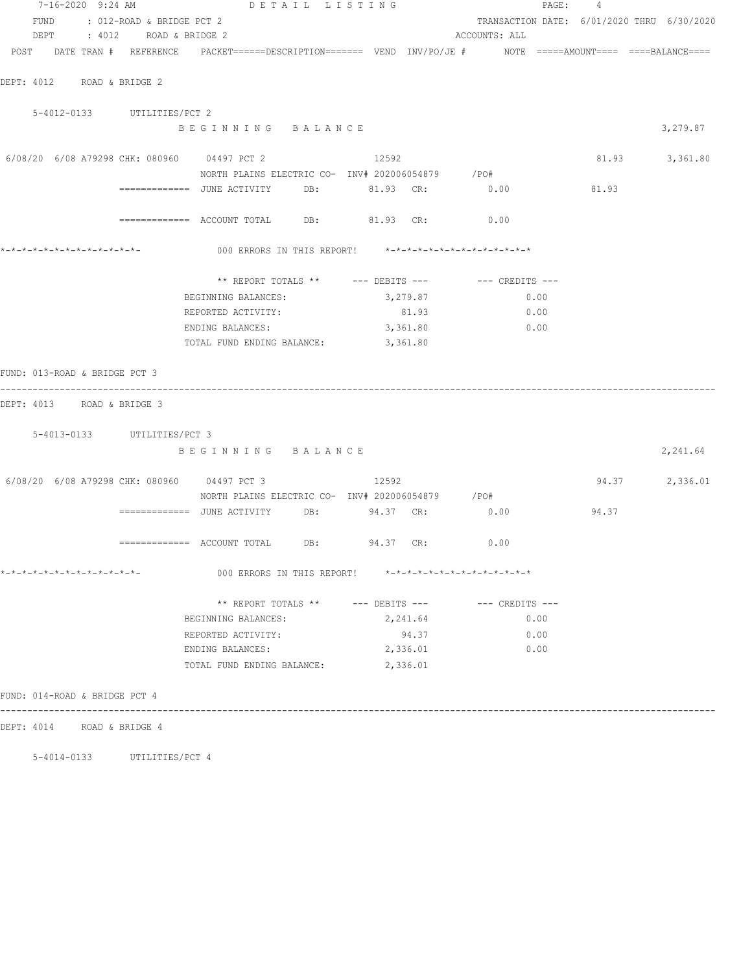| 7-16-2020 9:24 AM                                                                                               | DETAIL LISTING                                          |                                                      |          |                                            | PAGE: 4 |                |
|-----------------------------------------------------------------------------------------------------------------|---------------------------------------------------------|------------------------------------------------------|----------|--------------------------------------------|---------|----------------|
| FUND : 012-ROAD & BRIDGE PCT 2                                                                                  |                                                         |                                                      |          | TRANSACTION DATE: 6/01/2020 THRU 6/30/2020 |         |                |
| DEPT : 4012 ROAD & BRIDGE 2                                                                                     |                                                         |                                                      |          | ACCOUNTS: ALL                              |         |                |
| POST DATE TRAN # REFERENCE PACKET======DESCRIPTION======= VEND INV/PO/JE # NOTE =====AMOUNT==== ====BALANCE==== |                                                         |                                                      |          |                                            |         |                |
| DEPT: 4012 ROAD & BRIDGE 2                                                                                      |                                                         |                                                      |          |                                            |         |                |
|                                                                                                                 |                                                         |                                                      |          |                                            |         |                |
| 5-4012-0133 UTILITIES/PCT 2                                                                                     |                                                         |                                                      |          |                                            |         |                |
|                                                                                                                 | BEGINNING BALANCE                                       |                                                      |          |                                            |         | 3,279.87       |
| 6/08/20 6/08 A79298 CHK: 080960 04497 PCT 2 2 12592                                                             |                                                         |                                                      |          |                                            |         | 81.93 3,361.80 |
|                                                                                                                 | NORTH PLAINS ELECTRIC CO- INV# 202006054879 / PO#       |                                                      |          |                                            |         |                |
|                                                                                                                 |                                                         |                                                      |          |                                            |         |                |
|                                                                                                                 |                                                         |                                                      |          |                                            |         |                |
|                                                                                                                 | ============ ACCOUNT TOTAL DB: 81.93 CR: 0.00           |                                                      |          |                                            |         |                |
|                                                                                                                 |                                                         |                                                      |          |                                            |         |                |
|                                                                                                                 | ** REPORT TOTALS ** --- DEBITS --- -- -- CREDITS ---    |                                                      |          |                                            |         |                |
|                                                                                                                 | BEGINNING BALANCES:                                     |                                                      | 3,279.87 | 0.00                                       |         |                |
|                                                                                                                 | REPORTED ACTIVITY:                                      |                                                      | 81.93    | 0.00                                       |         |                |
|                                                                                                                 | ENDING BALANCES:                                        | 3,361.80                                             |          | 0.00                                       |         |                |
|                                                                                                                 | TOTAL FUND ENDING BALANCE: 3,361.80                     |                                                      |          |                                            |         |                |
| FUND: 013-ROAD & BRIDGE PCT 3                                                                                   |                                                         |                                                      |          |                                            |         |                |
| DEPT: 4013 ROAD & BRIDGE 3                                                                                      |                                                         |                                                      |          |                                            |         |                |
|                                                                                                                 |                                                         |                                                      |          |                                            |         |                |
| 5-4013-0133 UTILITIES/PCT 3                                                                                     |                                                         |                                                      |          |                                            |         |                |
|                                                                                                                 | BEGINNING BALANCE                                       |                                                      |          |                                            |         | 2,241.64       |
| 6/08/20 6/08 A79298 CHK: 080960 04497 PCT 3                                                                     |                                                         | 12592                                                |          |                                            |         | 94.37 2,336.01 |
|                                                                                                                 | NORTH PLAINS ELECTRIC CO- INV# 202006054879 / PO#       |                                                      |          |                                            |         |                |
|                                                                                                                 |                                                         |                                                      |          |                                            | 94.37   |                |
|                                                                                                                 |                                                         |                                                      |          |                                            |         |                |
|                                                                                                                 | ============ ACCOUNT TOTAL DB: 94.37 CR: 0.00           |                                                      |          |                                            |         |                |
| *-*-*-*-*-*-*-*-*-*-*-*-*-*-                                                                                    | 000 ERRORS IN THIS REPORT! *-*-*-*-*-*-*-*-*-*-*-*-*-*- |                                                      |          |                                            |         |                |
|                                                                                                                 |                                                         | ** REPORT TOTALS ** --- DEBITS --- -- -- CREDITS --- |          |                                            |         |                |
|                                                                                                                 | BEGINNING BALANCES:                                     |                                                      | 2,241.64 | 0.00                                       |         |                |
|                                                                                                                 | REPORTED ACTIVITY:                                      |                                                      | 94.37    | 0.00                                       |         |                |
|                                                                                                                 | ENDING BALANCES:                                        |                                                      | 2,336.01 | 0.00                                       |         |                |
|                                                                                                                 | TOTAL FUND ENDING BALANCE:                              | 2,336.01                                             |          |                                            |         |                |
| FUND: 014-ROAD & BRIDGE PCT 4                                                                                   |                                                         |                                                      |          |                                            |         |                |
| DEPT: 4014 ROAD & BRIDGE 4                                                                                      |                                                         |                                                      |          |                                            |         |                |
|                                                                                                                 |                                                         |                                                      |          |                                            |         |                |

5-4014-0133 UTILITIES/PCT 4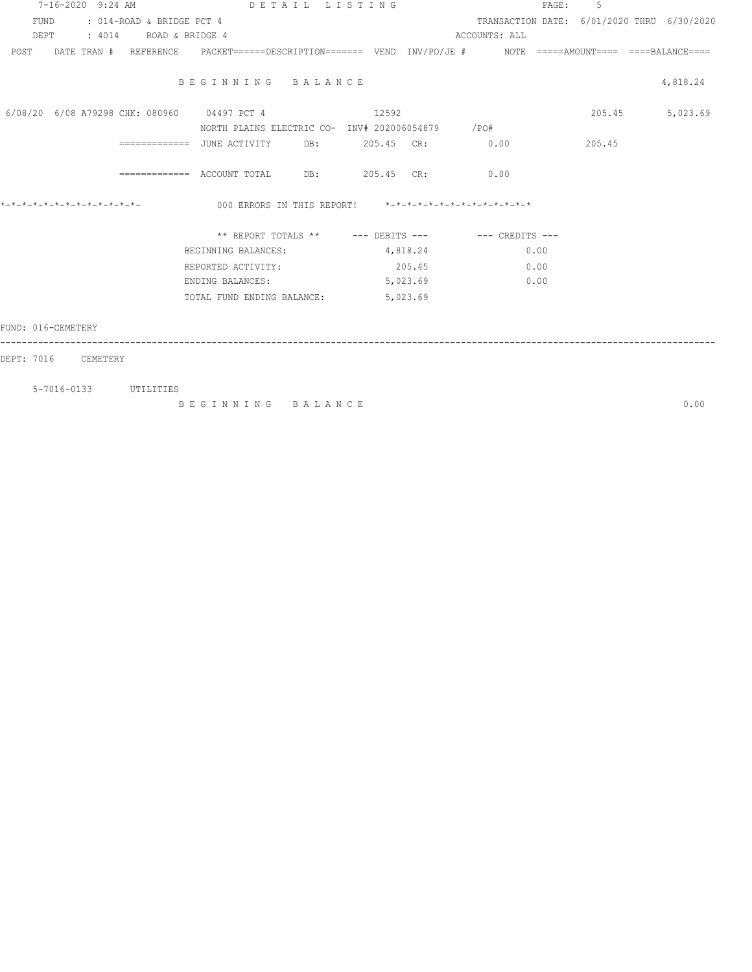|                     |  |                                | 7-16-2020 9:24 AM DETAIL LISTING                                                                               |          |          |                                            | PAGE: | -5              |          |
|---------------------|--|--------------------------------|----------------------------------------------------------------------------------------------------------------|----------|----------|--------------------------------------------|-------|-----------------|----------|
|                     |  | FUND : 014-ROAD & BRIDGE PCT 4 |                                                                                                                |          |          | TRANSACTION DATE: 6/01/2020 THRU 6/30/2020 |       |                 |          |
|                     |  | DEPT : 4014 ROAD & BRIDGE 4    |                                                                                                                |          |          | ACCOUNTS: ALL                              |       |                 |          |
|                     |  |                                | POST DATE TRAN # REFERENCE PACKET======DESCRIPTION======= VEND INV/PO/JE # NOTE =====AMOUNT==== ===BALANCE==== |          |          |                                            |       |                 |          |
|                     |  |                                |                                                                                                                |          |          |                                            |       |                 |          |
|                     |  |                                | BEGINNING BALANCE                                                                                              |          |          |                                            |       |                 | 4,818.24 |
|                     |  |                                |                                                                                                                |          |          |                                            |       |                 |          |
|                     |  |                                | 6/08/20 6/08 A79298 CHK: 080960 04497 PCT 4 12592                                                              |          |          |                                            |       | 205.45 5,023.69 |          |
|                     |  |                                | NORTH PLAINS ELECTRIC CO- INV# 202006054879 / PO#                                                              |          |          |                                            |       |                 |          |
|                     |  |                                | =============    JUNE  ACTIVITY          DB:               205.45     CR:                    0.00              |          |          |                                            |       | 205.45          |          |
|                     |  |                                |                                                                                                                |          |          |                                            |       |                 |          |
|                     |  |                                | ============ ACCOUNT TOTAL DB: 205.45 CR: 0.00                                                                 |          |          |                                            |       |                 |          |
|                     |  |                                |                                                                                                                |          |          |                                            |       |                 |          |
|                     |  |                                | 000 ERRORS IN THIS REPORT! *-*-*-*-*-*-*-*-*-*-*-*-*-                                                          |          |          |                                            |       |                 |          |
|                     |  |                                | ** REPORT TOTALS ** --- DEBITS --- -- CREDITS ---                                                              |          |          |                                            |       |                 |          |
|                     |  |                                | BEGINNING BALANCES:                                                                                            | 4,818.24 |          | 0.00                                       |       |                 |          |
|                     |  |                                |                                                                                                                |          |          |                                            |       |                 |          |
|                     |  |                                | REPORTED ACTIVITY:                                                                                             | 205.45   |          | 0.00                                       |       |                 |          |
|                     |  |                                | ENDING BALANCES:                                                                                               |          | 5,023.69 | 0.00                                       |       |                 |          |
|                     |  |                                | TOTAL FUND ENDING BALANCE:                                                                                     |          | 5,023.69 |                                            |       |                 |          |
|                     |  |                                |                                                                                                                |          |          |                                            |       |                 |          |
| FUND: 016-CEMETERY  |  |                                |                                                                                                                |          |          |                                            |       |                 |          |
|                     |  |                                |                                                                                                                |          |          |                                            |       |                 |          |
| DEPT: 7016 CEMETERY |  |                                |                                                                                                                |          |          |                                            |       |                 |          |
|                     |  |                                |                                                                                                                |          |          |                                            |       |                 |          |

 5-7016-0133 UTILITIES B E G I N N I N G B A L A N C E 0.00